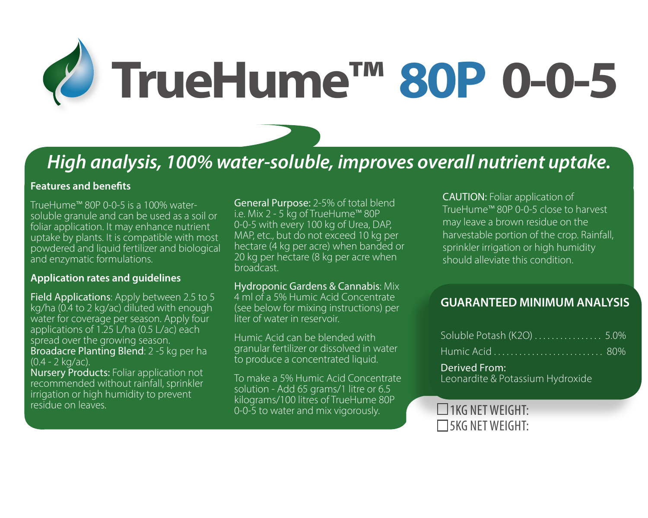

# *High analysis, 100% water-soluble, improves overall nutrient uptake.*

### **Features and benefits**

TrueHume™ 80P 0-0-5 is a 100% watersoluble granule and can be used as a soil or foliar application. It may enhance nutrient uptake by plants. It is compatible with most powdered and liquid fertilizer and biological and enzymatic formulations.

#### **Application rates and guidelines**

Field Applications: Apply between 2.5 to 5 kg/ha (0.4 to 2 kg/ac) diluted with enough water for coverage per season. Apply four applications of 1.25 L/ha (0.5 L/ac) each spread over the growing season. Broadacre Planting Blend: 2 -5 kg per ha (0.4 - 2 kg/ac).

Nursery Products: Foliar application not recommended without rainfall, sprinkler irrigation or high humidity to prevent<br>residue on leaves

General Purpose: 2-5% of total blend i.e. Mix 2 - 5 kg of TrueHume™ 80P 0-0-5 with every 100 kg of Urea, DAP, MAP, etc., but do not exceed 10 kg per hectare (4 kg per acre) when banded or 20 kg per hectare (8 kg per acre when broadcast.

Hydroponic Gardens & Cannabis: Mix 4 ml of a 5% Humic Acid Concentrate (see below for mixing instructions) per liter of water in reservoir

Humic Acid can be blended with granular fertilizer or dissolved in water to produce a concentrated liquid.

residue on leaves.<br>
0-0-5 to water and mix vigorously.<br>
1KG NET WEIGHT: To make a 5% Humic Acid Concentrate solution - Add 65 grams/1 litre or 6.5 kilograms/100 litres of TrueHume 80P

CAUTION: Foliar application of TrueHume™ 80P 0-0-5 close to harvest may leave a brown residue on the harvestable portion of the crop. Rainfall, sprinkler irrigation or high humidity should alleviate this condition.

## **GUARANTEED MINIMUM ANALYSIS**

| Soluble Potash (K2O)  5.0%                        |  |
|---------------------------------------------------|--|
|                                                   |  |
| Derived From:<br>Leonardite & Potassium Hydroxide |  |

 $\Box$ 5KG NET WEIGHT: